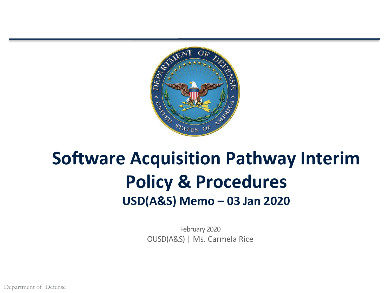

# **Software Acquisition Pathway Interim Policy & Procedures USD(A&S) Memo – 03 Jan 2020**

February 2020 OUSD(A&S) | Ms. Carmela Rice

Department of Defense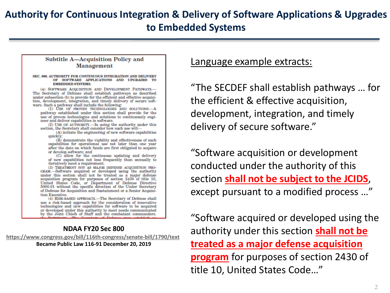### **Authority for Continuous Integration & Delivery of Software Applications & Upgrades to Embedded Systems**

#### **Subtitle A-Acquisition Policy and Management**

#### SEC. 800. AUTHORITY FOR CONTINUOUS INTEGRATION AND DELIVERY OF SOFTWARE APPLICATIONS AND UPGRADES TO **EMBEDDED SYSTEMS.**

(a) SOFTWARE ACQUISITION AND DEVELOPMENT PATHWAYS.-The Secretary of Defense shall establish pathways as described under subsection (b) to provide for the efficient and effective acquisition, development, integration, and timely delivery of secure software. Such a pathway shall include the following:

(1) USE OF PROVEN TECHNOLOGIES AND SOLUTIONS .- A pathway established under this section shall provide for the use of proven technologies and solutions to continuously engineer and deliver capabilities in software.

(2) USE OF AUTHORITY.-In using the authority under this section, the Secretary shall consider how such use will-

(A) initiate the engineering of new software capabilities quickly;

(B) demonstrate the viability and effectiveness of such capabilities for operational use not later than one year after the date on which funds are first obligated to acquire or develop software; and

(C) allow for the continuous updating and delivery of new capabilities not less frequently than annually to iteratively meet a requirement.

(3) TREATMENT NOT AS MAJOR DEFENSE ACQUISITION PRO-GRAM.-Software acquired or developed using the authority under this section shall not be treated as a major defense acquisition program for purposes of section 2430 of title 10, United States Code, or Department of Defense Directive 5000.01 without the specific direction of the Under Secretary of Defense for Acquisition and Sustainment or a Senior Acquisition Executive.

(4) RISK-BASED APPROACH.-The Secretary of Defense shall use a risk-based approach for the consideration of innovative technologies and new capabilities for software to be acquired or developed under this authority to meet needs communicated by the Joint Chiefs of Staff and the combatant commanders.

### **NDAA FY20 Sec 800**

**<https://www.congress.gov/bill/116th-congress/senate-bill/1790/text>**

**Became Public Law 116-91 December 20, 2019**

Language example extracts:

"The SECDEF shall establish pathways … for the efficient & effective acquisition, development, integration, and timely delivery of secure software."

"Software acquisition or development conducted under the authority of this section **shall not be subject to the JCIDS**, except pursuant to a modified process …"

"Software acquired or developed using the authority under this section **shall not be treated as a major defense acquisition program** for purposes of section 2430 of title 10, United States Code…"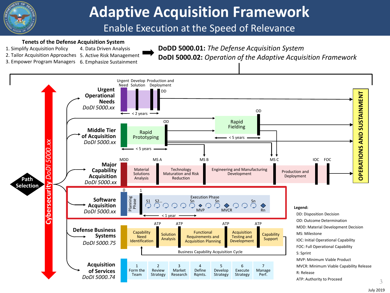

# **Adaptive Acquisition Framework**

### Enable Execution at the Speed of Relevance

#### **Tenets of the Defense Acquisition System**

3. Empower Program Managers 6. Emphasize Sustainment

- 1. Simplify Acquisition Policy
- 2. Tailor Acquisition Approaches 5. Active Risk Management
- 4. Data Driven Analysis
- **DoDD 5000.01:** *The Defense Acquisition System*

**DoDI 5000.02:** *Operation of the Adaptive Acquisition Framework*

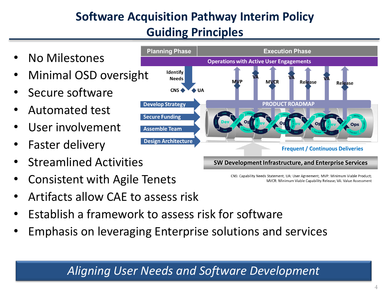## **Software Acquisition Pathway Interim Policy Guiding Principles**

- No Milestones
- Minimal OSD oversight
- Secure software
- Automated test
- User involvement
- Faster delivery
- Streamlined Activities
- Consistent with Agile Tenets
- Artifacts allow CAE to assess risk
- Establish a framework to assess risk for software
- Emphasis on leveraging Enterprise solutions and services

### *Aligning User Needs and Software Development*



SW Development Infrastructure, and Enterprise Services

CNS: Capability Needs Statement; UA: User Agreement; MVP: Minimum Viable Product; MVCR: Minimum Viable Capability Release: VA: Value Assessment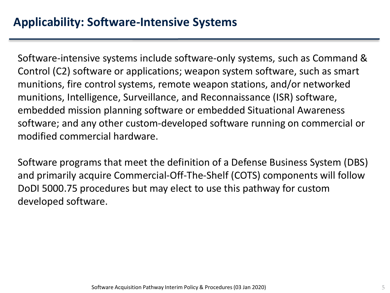Software-intensive systems include software-only systems, such as Command & Control (C2) software or applications; weapon system software, such as smart munitions, fire control systems, remote weapon stations, and/or networked munitions, Intelligence, Surveillance, and Reconnaissance (ISR) software, embedded mission planning software or embedded Situational Awareness software; and any other custom-developed software running on commercial or modified commercial hardware.

Software programs that meet the definition of a Defense Business System (DBS) and primarily acquire Commercial-Off-The-Shelf (COTS) components will follow DoDI 5000.75 procedures but may elect to use this pathway for custom developed software.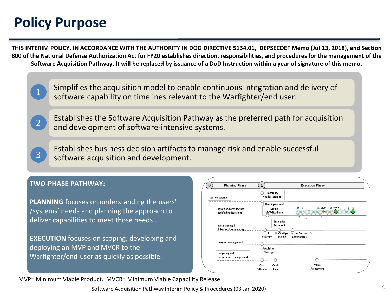# **Policy Purpose**

1

2

3

**THIS INTERIM POLICY, IN ACCORDANCE WITH THE AUTHORITY IN DOD DIRECTIVE 5134.01, DEPSECDEF Memo (Jul 13, 2018), and Section 800 of the National Defense Authorization Act for FY20 establishes direction, responsibilities, and procedures for the management of the Software Acquisition Pathway. It will be replaced by issuance of a DoD Instruction within a year of signature of this memo.**

> Simplifies the acquisition model to enable continuous integration and delivery of software capability on timelines relevant to the Warfighter/end user.

Establishes the Software Acquisition Pathway as the preferred path for acquisition and development of software-intensive systems.

Establishes business decision artifacts to manage risk and enable successful software acquisition and development.

#### **TWO-PHASE PATHWAY:**

**PLANNING** focuses on understanding the users' /systems' needs and planning the approach to deliver capabilities to meet those needs .

**EXECUTION** focuses on scoping, developing and deploying an MVP and MVCR to the Warfighter/end-user as quickly as possible.



MVP= Minimum Viable Product. MVCR= Minimum Viable Capability Release

Software Acquisition Pathway Interim Policy & Procedures (03 Jan 2020)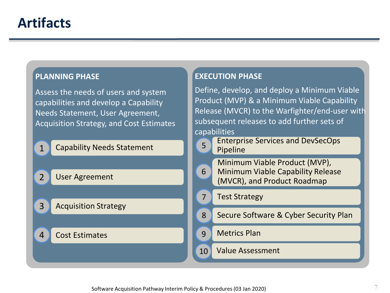### **PLANNING PHASE**

Assess the needs of users and system capabilities and develop a Capability Needs Statement, User Agreement, Acquisition Strategy, and Cost Estimates

| $\overline{1}$<br><b>Solution</b> Capability Needs Statement |  |
|--------------------------------------------------------------|--|
|--------------------------------------------------------------|--|

2 **User Agreement** 

3 Acquisition Strategy

### 4 Cost Estimates

### **EXECUTION PHASE**

Define, develop, and deploy a Minimum Viable Product (MVP) & a Minimum Viable Capability Release (MVCR) to the Warfighter/end-user with subsequent releases to add further sets of capabilities

Enterprise Services and DevSecOps

| ment | 5  | ETTLE DITSE SETVICES ATTUMPEDUS<br>Pipeline                                                              |
|------|----|----------------------------------------------------------------------------------------------------------|
|      | 6  | Minimum Viable Product (MVP),<br><b>Minimum Viable Capability Release</b><br>(MVCR), and Product Roadmap |
|      |    | <b>Test Strategy</b>                                                                                     |
|      | 8  | Secure Software & Cyber Security Plan                                                                    |
|      | 9  | <b>Metrics Plan</b>                                                                                      |
|      | 10 | <b>Value Assessment</b>                                                                                  |
|      |    |                                                                                                          |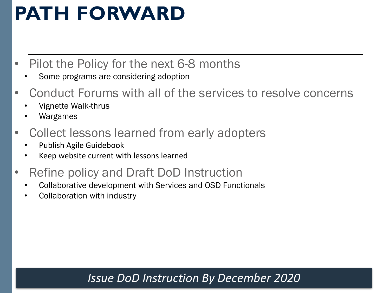# **PATH FORWARD**

- Pilot the Policy for the next 6-8 months
	- Some programs are considering adoption
- Conduct Forums with all of the services to resolve concerns
	- Vignette Walk-thrus
	- Wargames
- Collect lessons learned from early adopters
	- Publish Agile Guidebook
	- Keep website current with lessons learned
- Refine policy and Draft DoD Instruction
	- Collaborative development with Services and OSD Functionals
	- Collaboration with industry

### *Issue DoD Instruction By December 2020*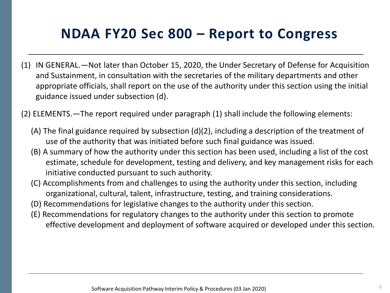# **NDAA FY20 Sec 800 – Report to Congress**

- (1) IN GENERAL.—Not later than October 15, 2020, the Under Secretary of Defense for Acquisition and Sustainment, in consultation with the secretaries of the military departments and other appropriate officials, shall report on the use of the authority under this section using the initial guidance issued under subsection (d).
- (2) ELEMENTS.—The report required under paragraph (1) shall include the following elements:
	- (A) The final guidance required by subsection (d)(2), including a description of the treatment of use of the authority that was initiated before such final guidance was issued.
	- (B) A summary of how the authority under this section has been used, including a list of the cost estimate, schedule for development, testing and delivery, and key management risks for each initiative conducted pursuant to such authority.
	- (C) Accomplishments from and challenges to using the authority under this section, including organizational, cultural, talent, infrastructure, testing, and training considerations.
	- (D) Recommendations for legislative changes to the authority under this section.
	- (E) Recommendations for regulatory changes to the authority under this section to promote effective development and deployment of software acquired or developed under this section.